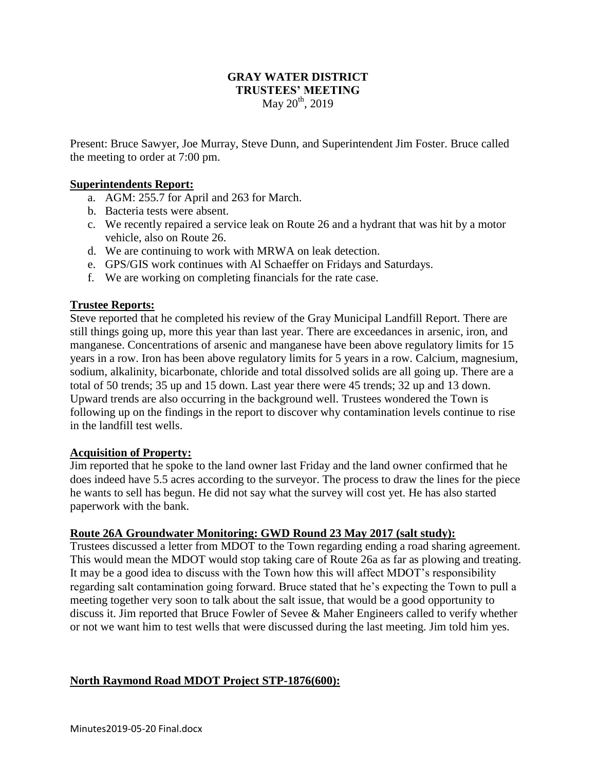## **GRAY WATER DISTRICT TRUSTEES' MEETING** May 20<sup>th</sup>, 2019

Present: Bruce Sawyer, Joe Murray, Steve Dunn, and Superintendent Jim Foster. Bruce called the meeting to order at 7:00 pm.

#### **Superintendents Report:**

- a. AGM: 255.7 for April and 263 for March.
- b. Bacteria tests were absent.
- c. We recently repaired a service leak on Route 26 and a hydrant that was hit by a motor vehicle, also on Route 26.
- d. We are continuing to work with MRWA on leak detection.
- e. GPS/GIS work continues with Al Schaeffer on Fridays and Saturdays.
- f. We are working on completing financials for the rate case.

### **Trustee Reports:**

Steve reported that he completed his review of the Gray Municipal Landfill Report. There are still things going up, more this year than last year. There are exceedances in arsenic, iron, and manganese. Concentrations of arsenic and manganese have been above regulatory limits for 15 years in a row. Iron has been above regulatory limits for 5 years in a row. Calcium, magnesium, sodium, alkalinity, bicarbonate, chloride and total dissolved solids are all going up. There are a total of 50 trends; 35 up and 15 down. Last year there were 45 trends; 32 up and 13 down. Upward trends are also occurring in the background well. Trustees wondered the Town is following up on the findings in the report to discover why contamination levels continue to rise in the landfill test wells.

### **Acquisition of Property:**

Jim reported that he spoke to the land owner last Friday and the land owner confirmed that he does indeed have 5.5 acres according to the surveyor. The process to draw the lines for the piece he wants to sell has begun. He did not say what the survey will cost yet. He has also started paperwork with the bank.

### **Route 26A Groundwater Monitoring: GWD Round 23 May 2017 (salt study):**

Trustees discussed a letter from MDOT to the Town regarding ending a road sharing agreement. This would mean the MDOT would stop taking care of Route 26a as far as plowing and treating. It may be a good idea to discuss with the Town how this will affect MDOT's responsibility regarding salt contamination going forward. Bruce stated that he's expecting the Town to pull a meeting together very soon to talk about the salt issue, that would be a good opportunity to discuss it. Jim reported that Bruce Fowler of Sevee & Maher Engineers called to verify whether or not we want him to test wells that were discussed during the last meeting. Jim told him yes.

### **North Raymond Road MDOT Project STP-1876(600):**